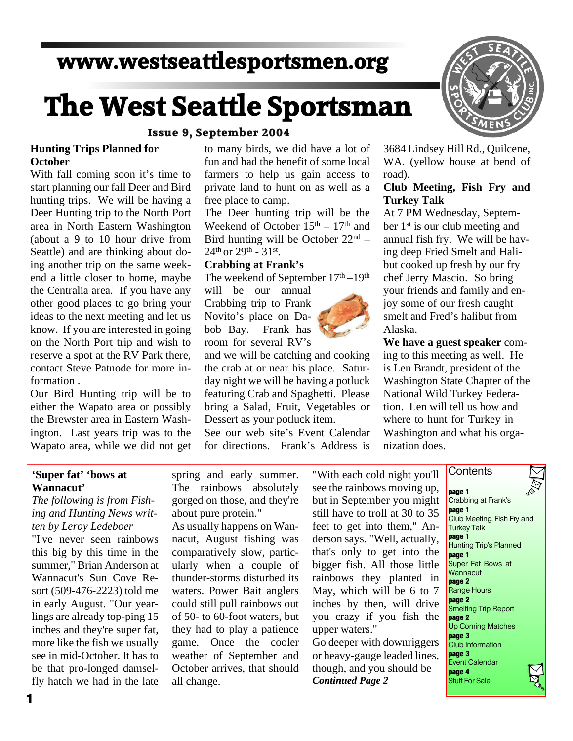# **www.westseattlesportsmen.org**

# **The West Seattle Sportsman**

#### **Issue 9, September 2004**

#### **Hunting Trips Planned for October**

With fall coming soon it's time to start planning our fall Deer and Bird hunting trips. We will be having a Deer Hunting trip to the North Port area in North Eastern Washington (about a 9 to 10 hour drive from Seattle) and are thinking about do ing another trip on the same week end a little closer to home, maybe the Centralia area. If you have any other good places to go bring your ideas to the next meeting and let us know. If you are interested in going on the North Port trip and wish to reserve a spot at the RV Park there, contact Steve Patnode for more in formation .

Our Bird Hunting trip will be to either the Wapato area or possibly the Brewster area in Eastern Wash ington. Last years trip was to the Wapato area, while we did not get to many birds, we did have a lot of fun and had the benefit of some local farmers to help us gain access to private land to hunt on as well as a free place to camp.

The Deer hunting trip will be the Weekend of October  $15<sup>th</sup> - 17<sup>th</sup>$  and Bird hunting will be October  $22<sup>nd</sup>$  –  $24^{th}$  or  $29^{th}$  -  $31^{st}$ .

#### **Crabbing at Frank's**

The weekend of September  $17<sup>th</sup> - 19<sup>th</sup>$ 

will be our annual Crabbing trip to Frank Novito's place on Da bob Bay. Frank has room for several RV's

and we will be catching and cooking the crab at or near his place. Satur day night we will be having a potluck featuring Crab and Spaghetti. Please bring a Salad, Fruit, Vegetables or Dessert as your potluck item.

See our web site's Event Calendar for directions. Frank's Address is



3684 Lindsey Hill Rd., Quilcene, WA. (yellow house at bend of road).

### **Club Meeting, Fish Fry and Turkey Talk**

At 7 PM Wednesday, Septem ber 1<sup>st</sup> is our club meeting and annual fish fry. We will be hav ing deep Fried Smelt and Hali but cooked up fresh by our fry chef Jerry Mascio. So bring your friends and family and en joy some of our fresh caught smelt and Fred's halibut from Alaska.

**We have a guest speaker** com ing to this meeting as well. He is Len Brandt, president of the Washington State Chapter of the National Wild Turkey Federa tion. Len will tell us how and where to hunt for Turkey in Washington and what his orga nization does.

**Contents** 

#### **'Super fat' 'bows at Wannacut'**

*The following is from Fish ing and Hunting News writ ten by Leroy Ledeboer*

"I've never seen rainbows this big by this time in the summer," Brian Anderson at Wannacut's Sun Cove Re sort (509-476-2223) told me in early August. "Our year lings are already top-ping 15 inches and they're super fat, more like the fish we usually see in mid-October. It has to be that pro-longed damsel fly hatch we had in the late

**1**

spring and early summer. The rainbows absolutely gorged on those, and they're about pure protein."

As usually happens on Wan nacut, August fishing was comparatively slow, partic ularly when a couple of thunder-storms disturbed its waters. Power Bait anglers could still pull rainbows out of 50- to 60-foot waters, but they had to play a patience game. Once the cooler weather of September and October arrives, that should all change.

"With each cold night you'll see the rainbows moving up, but in September you might still have to troll at 30 to 35 feet to get into them," An derson says. "Well, actually, that's only to get into the bigger fish. All those little rainbows they planted in May, which will be 6 to 7 inches by then, will drive you crazy if you fish the upper waters."

Go deeper with downriggers or heavy-gauge leaded lines, though, and you should be *Continued Page 2*

**page 1** Crabbing at Frank's **page 1** Club Meeting, Fish Fry and Turkey Talk **page 1** Hunting Trip's Planned **page 1** Super Fat Bows at **Wannacut page 2** Range Hours **page 2** Smelting Trip Report **page 2** Up Coming Matches **page 3** Club Information **page 3** Event Calendar **page 4** Stuff For Sale

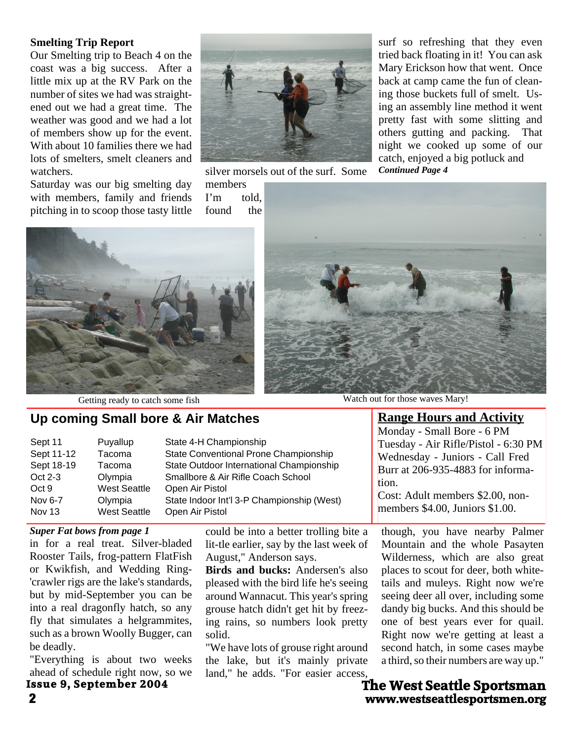#### **Smelting Trip Report**

Our Smelting trip to Beach 4 on the coast was a big success. After a little mix up at the RV Park on the number of sites we had was straight ened out we had a great time. The weather was good and we had a lot of members show up for the event. With about 10 families there we had lots of smelters, smelt cleaners and watchers.

Saturday was our big smelting day with members, family and friends pitching in to scoop those tasty little



silver morsels out of the surf. Some

members<br>I'm to told. found the surf so refreshing that they even tried back floating in it! You can ask Mary Erickson how that went. Once back at camp came the fun of clean ing those buckets full of smelt. Us ing an assembly line method it went pretty fast with some slitting and others gutting and packing. That night we cooked up some of our catch, enjoyed a big potluck and *Continued Page 4*





# **Up coming Small bore & Air Matches**

| Sept 11    | Puyallup            | State 4-H Championship                     |
|------------|---------------------|--------------------------------------------|
| Sept 11-12 | Tacoma              | State Conventional Prone Championship      |
| Sept 18-19 | Tacoma              | State Outdoor International Championship   |
| Oct 2-3    | Olympia             | Smallbore & Air Rifle Coach School         |
| Oct 9      | <b>West Seattle</b> | Open Air Pistol                            |
| Nov 6-7    | Olympia             | State Indoor Int'l 3-P Championship (West) |
| Nov 13     | <b>West Seattle</b> | Open Air Pistol                            |

#### *Super Fat bows from page 1*

in for a real treat. Silver-bladed Rooster Tails, frog-pattern FlatFish or Kwikfish, and Wedding Ring- 'crawler rigs are the lake's standards, but by mid-September you can be into a real dragonfly hatch, so any fly that simulates a helgrammites, such as a brown Woolly Bugger, can be deadly.

"Everything is about two weeks ahead of schedule right now, so we **Issue 9, September 2004**

could be into a better trolling bite a lit-tle earlier, say by the last week of August," Anderson says.

**Birds and bucks:** Andersen's also pleased with the bird life he's seeing around Wannacut. This year's spring grouse hatch didn't get hit by freez ing rains, so numbers look pretty solid.

"We have lots of grouse right around the lake, but it's mainly private land," he adds. "For easier access,



Getting ready to catch some fish Watch out for those waves Mary!

**Range Hours and Activity** Monday - Small Bore - 6 PM Tuesday - Air Rifle/Pistol - 6:30 PM Wednesday - Juniors - Call Fred Burr at 206-935-4883 for informa tion. Cost: Adult members \$2.00, non-

members \$4.00, Juniors \$1.00.

though, you have nearby Palmer Mountain and the whole Pasayten Wilderness, which are also great places to scout for deer, both white tails and muleys. Right now we're seeing deer all over, including some dandy big bucks. And this should be one of best years ever for quail. Right now we're getting at least a second hatch, in some cases maybe a third, so their numbers are way up."

**2 www.westseattlesportsmen.org The West Seattle Sportsman**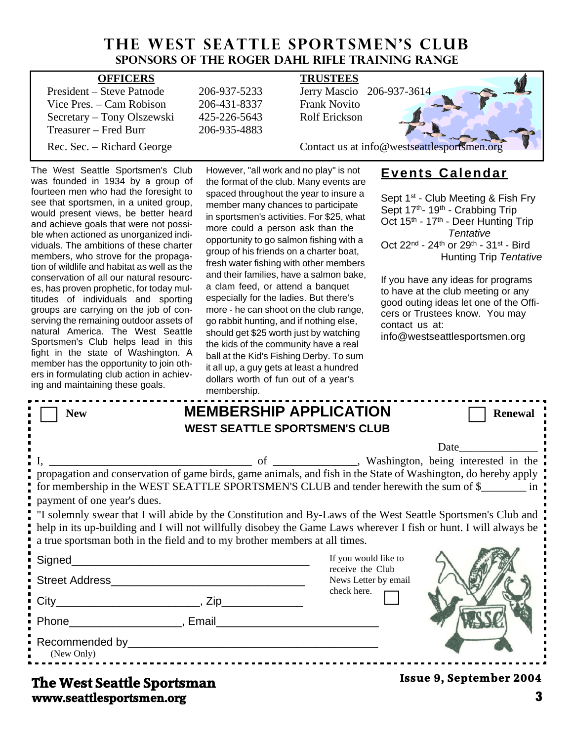# **THE WEST SEATTLE SPORTSMEN'S CLUB Sponsors of the Roger Dahl Rifle Training Range**

| <b>OFFICERS</b>            |              | <b>TRUSTEES</b>                             |
|----------------------------|--------------|---------------------------------------------|
| President – Steve Patnode  | 206-937-5233 | Jerry Mascio 206-937-3614                   |
| Vice Pres. – Cam Robison   | 206-431-8337 | <b>Frank Novito</b>                         |
| Secretary – Tony Olszewski | 425-226-5643 | <b>Rolf Erickson</b>                        |
| Treasurer – Fred Burr      | 206-935-4883 |                                             |
| Rec. Sec. – Richard George |              | Contact us at info@westseattlesportsmen.org |

The West Seattle Sportsmen's Club was founded in 1934 by a group of fourteen men who had the foresight to see that sportsmen, in a united group, would present views, be better heard and achieve goals that were not possi ble when actioned as unorganized indi viduals. The ambitions of these charter members, who strove for the propaga tion of wildlife and habitat as well as the conservation of all our natural resourc es, has proven prophetic, for today mul titudes of individuals and sporting groups are carrying on the job of con serving the remaining outdoor assets of natural America. The West Seattle Sportsmen's Club helps lead in this fight in the state of Washington. A member has the opportunity to join oth ers in formulating club action in achiev ing and maintaining these goals.

However, "all work and no play" is not the format of the club. Many events are spaced throughout the year to insure a member many chances to participate in sportsmen's activities. For \$25, what more could a person ask than the opportunity to go salmon fishing with a group of his friends on a charter boat, fresh water fishing with other members and their families, have a salmon bake, a clam feed, or attend a banquet especially for the ladies. But there's more - he can shoot on the club range, go rabbit hunting, and if nothing else, should get \$25 worth just by watching the kids of the community have a real ball at the Kid's Fishing Derby. To sum it all up, a guy gets at least a hundred dollars worth of fun out of a year's membership.

# **Events Calendar**

Sept 1<sup>st</sup> - Club Meeting & Fish Fry Sept 17<sup>th</sup>- 19<sup>th</sup> - Crabbing Trip Oct 15<sup>th</sup> - 17<sup>th</sup> - Deer Hunting Trip *Tentative* Oct 22nd - 24th or 29th - 31st - Bird Hunting Trip*Tentative*

If you have any ideas for programs to have at the club meeting or any good outing ideas let one of the Offi cers or Trustees know. You may contact us at:

info@westseattlesportsmen.org

|                                                                                                                                                                                                                                                                                                                                                                                                                                                                                                                                                                    | <b>HIGHINGIOHIP.</b> |                                                                                 |                         |  |  |  |
|--------------------------------------------------------------------------------------------------------------------------------------------------------------------------------------------------------------------------------------------------------------------------------------------------------------------------------------------------------------------------------------------------------------------------------------------------------------------------------------------------------------------------------------------------------------------|----------------------|---------------------------------------------------------------------------------|-------------------------|--|--|--|
| <b>New</b>                                                                                                                                                                                                                                                                                                                                                                                                                                                                                                                                                         |                      | <b>MEMBERSHIP APPLICATION</b><br><b>WEST SEATTLE SPORTSMEN'S CLUB</b>           | <b>Renewal</b>          |  |  |  |
| Date<br>propagation and conservation of game birds, game animals, and fish in the State of Washington, do hereby apply<br>for membership in the WEST SEATTLE SPORTSMEN'S CLUB and tender herewith the sum of \$<br>payment of one year's dues.<br>I "I solemnly swear that I will abide by the Constitution and By-Laws of the West Seattle Sportsmen's Club and<br>help in its up-building and I will not willfully disobey the Game Laws wherever I fish or hunt. I will always be<br>a true sportsman both in the field and to my brother members at all times. |                      |                                                                                 |                         |  |  |  |
|                                                                                                                                                                                                                                                                                                                                                                                                                                                                                                                                                                    |                      | If you would like to<br>receive the Club<br>News Letter by email<br>check here. |                         |  |  |  |
| Phone Reserves and Phone Reserves and Phone Reserves and Phone Reserves and Phone Reserves and Phone Reserves and Phone Reserves and Phone Reserves and Phone Reserves and Phone Reserves and Phone Reserves and Phone Reserve                                                                                                                                                                                                                                                                                                                                     |                      |                                                                                 |                         |  |  |  |
| (New Only)<br>The West Seattle Sportsman                                                                                                                                                                                                                                                                                                                                                                                                                                                                                                                           |                      |                                                                                 | Issue 9, September 2004 |  |  |  |

# **www.seattlesportsmen.org 3 The West Seattle Sportsman**